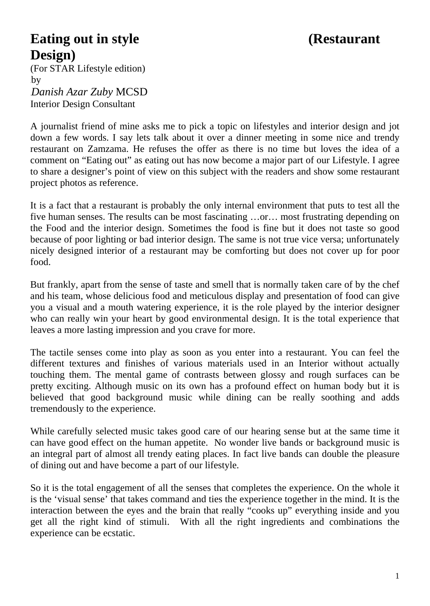## **Eating out in style**  (Restaurant **Design)**

(For STAR Lifestyle edition)  $by$ 1B*Danish Azar Zuby* MCSD Interior Design Consultant

A journalist friend of mine asks me to pick a topic on lifestyles and interior design and jot down a few words. I say lets talk about it over a dinner meeting in some nice and trendy restaurant on Zamzama. He refuses the offer as there is no time but loves the idea of a comment on "Eating out" as eating out has now become a major part of our Lifestyle. I agree to share a designer's point of view on this subject with the readers and show some restaurant project photos as reference.

It is a fact that a restaurant is probably the only internal environment that puts to test all the five human senses. The results can be most fascinating …or… most frustrating depending on the Food and the interior design. Sometimes the food is fine but it does not taste so good because of poor lighting or bad interior design. The same is not true vice versa; unfortunately nicely designed interior of a restaurant may be comforting but does not cover up for poor food.

But frankly, apart from the sense of taste and smell that is normally taken care of by the chef and his team, whose delicious food and meticulous display and presentation of food can give you a visual and a mouth watering experience, it is the role played by the interior designer who can really win your heart by good environmental design. It is the total experience that leaves a more lasting impression and you crave for more.

The tactile senses come into play as soon as you enter into a restaurant. You can feel the different textures and finishes of various materials used in an Interior without actually touching them. The mental game of contrasts between glossy and rough surfaces can be pretty exciting. Although music on its own has a profound effect on human body but it is believed that good background music while dining can be really soothing and adds tremendously to the experience.

While carefully selected music takes good care of our hearing sense but at the same time it can have good effect on the human appetite. No wonder live bands or background music is an integral part of almost all trendy eating places. In fact live bands can double the pleasure of dining out and have become a part of our lifestyle.

So it is the total engagement of all the senses that completes the experience. On the whole it is the 'visual sense' that takes command and ties the experience together in the mind. It is the interaction between the eyes and the brain that really "cooks up" everything inside and you get all the right kind of stimuli. With all the right ingredients and combinations the experience can be ecstatic.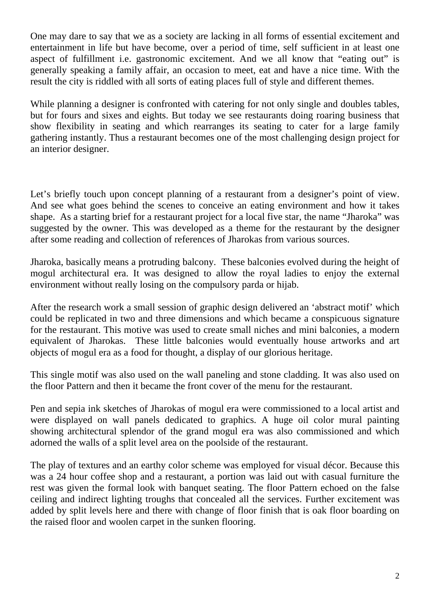One may dare to say that we as a society are lacking in all forms of essential excitement and entertainment in life but have become, over a period of time, self sufficient in at least one aspect of fulfillment i.e. gastronomic excitement. And we all know that "eating out" is generally speaking a family affair, an occasion to meet, eat and have a nice time. With the result the city is riddled with all sorts of eating places full of style and different themes.

While planning a designer is confronted with catering for not only single and doubles tables, but for fours and sixes and eights. But today we see restaurants doing roaring business that show flexibility in seating and which rearranges its seating to cater for a large family gathering instantly. Thus a restaurant becomes one of the most challenging design project for an interior designer.

Let's briefly touch upon concept planning of a restaurant from a designer's point of view. And see what goes behind the scenes to conceive an eating environment and how it takes shape. As a starting brief for a restaurant project for a local five star, the name "Jharoka" was suggested by the owner. This was developed as a theme for the restaurant by the designer after some reading and collection of references of Jharokas from various sources.

Jharoka, basically means a protruding balcony. These balconies evolved during the height of mogul architectural era. It was designed to allow the royal ladies to enjoy the external environment without really losing on the compulsory parda or hijab.

After the research work a small session of graphic design delivered an 'abstract motif' which could be replicated in two and three dimensions and which became a conspicuous signature for the restaurant. This motive was used to create small niches and mini balconies, a modern equivalent of Jharokas. These little balconies would eventually house artworks and art objects of mogul era as a food for thought, a display of our glorious heritage.

This single motif was also used on the wall paneling and stone cladding. It was also used on the floor Pattern and then it became the front cover of the menu for the restaurant.

Pen and sepia ink sketches of Jharokas of mogul era were commissioned to a local artist and were displayed on wall panels dedicated to graphics. A huge oil color mural painting showing architectural splendor of the grand mogul era was also commissioned and which adorned the walls of a split level area on the poolside of the restaurant.

The play of textures and an earthy color scheme was employed for visual décor. Because this was a 24 hour coffee shop and a restaurant, a portion was laid out with casual furniture the rest was given the formal look with banquet seating. The floor Pattern echoed on the false ceiling and indirect lighting troughs that concealed all the services. Further excitement was added by split levels here and there with change of floor finish that is oak floor boarding on the raised floor and woolen carpet in the sunken flooring.